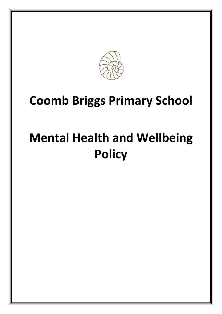

# **Coomb Briggs Primary School**

# **Mental Health and Wellbeing Policy**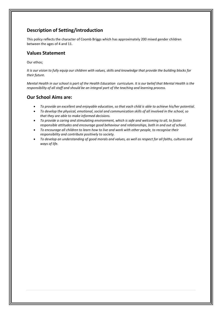## **Description of Setting/introduction**

This policy reflects the character of Coomb Briggs which has approximately 200 mixed gender children between the ages of 4 and 11.

#### **Values Statement**

Our ethos;

*It is our vision to fully equip our children with values, skills and knowledge that provide the building blocks for their future.*

*Mental Health in our school is part of the Health Education curriculum. It is our belief that Mental Health is the responsibility of all staff and should be an integral part of the teaching and learning process.*

#### **Our School Aims are:**

- *To provide an excellent and enjoyable education, so that each child is able to achieve his/her potential.*
- *To develop the physical, emotional, social and communication skills of all involved in the school, so that they are able to make informed decisions.*
- *To provide a caring and stimulating environment, which is safe and welcoming to all, to foster responsible attitudes and encourage good behaviour and relationships, both in and out of school.*
- *To encourage all children to learn how to live and work with other people, to recognise their responsibility and contribute positively to society.*
- *To develop an understanding of good morals and values, as well as respect for all faiths, cultures and ways of life.*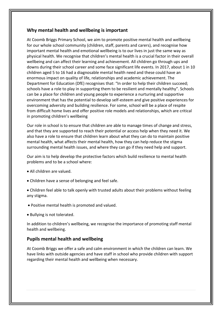#### **Why mental health and wellbeing is important**

At Coomb Briggs Primary School, we aim to promote positive mental health and wellbeing for our whole school community (children, staff, parents and carers), and recognise how important mental health and emotional wellbeing is to our lives in just the same way as physical health. We recognise that children's mental health is a crucial factor in their overall wellbeing and can affect their learning and achievement. All children go through ups and downs during their school career and some face significant life events. In 2017, about 1 in 10 children aged 5 to 16 had a diagnosable mental health need and these could have an enormous impact on quality of life, relationships and academic achievement. The Department for Education (DfE) recognises that: "In order to help their children succeed; schools have a role to play in supporting them to be resilient and mentally healthy". Schools can be a place for children and young people to experience a nurturing and supportive environment that has the potential to develop self-esteem and give positive experiences for overcoming adversity and building resilience. For some, school will be a place of respite from difficult home lives and offer positive role models and relationships, which are critical in promoting children's wellbeing

Our role in school is to ensure that children are able to manage times of change and stress, and that they are supported to reach their potential or access help when they need it. We also have a role to ensure that children learn about what they can do to maintain positive mental health, what affects their mental health, how they can help reduce the stigma surrounding mental health issues, and where they can go if they need help and support.

Our aim is to help develop the protective factors which build resilience to mental health problems and to be a school where:

- All children are valued.
- Children have a sense of belonging and feel safe.

• Children feel able to talk openly with trusted adults about their problems without feeling any stigma.

- Positive mental health is promoted and valued.
- Bullying is not tolerated.

In addition to children's wellbeing, we recognise the importance of promoting staff mental health and wellbeing.

#### **Pupils mental health and wellbeing**

At Coomb Briggs we offer a safe and calm environment in which the children can learn. We have links with outside agencies and have staff in school who provide children with support regarding their mental health and wellbeing when necessary.